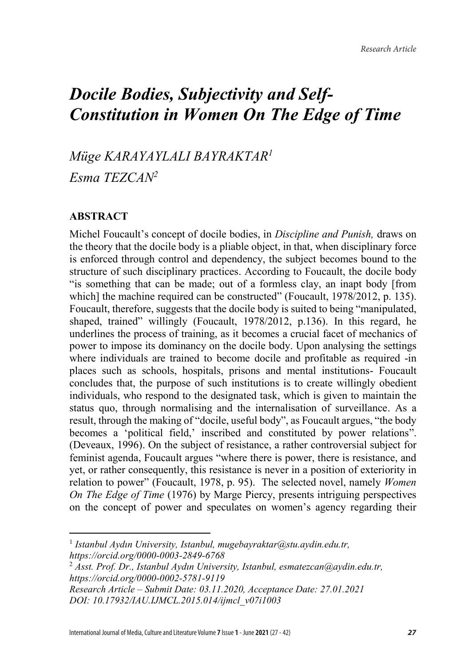# *Docile Bodies, Subjectivity and Self-Constitution in Women On The Edge of Time*

*Müge KARAYAYLALI BAYRAKTAR1*

*Esma TEZCAN2*

## **ABSTRACT**

l

Michel Foucault's concept of docile bodies, in *Discipline and Punish,* draws on the theory that the docile body is a pliable object, in that, when disciplinary force is enforced through control and dependency, the subject becomes bound to the structure of such disciplinary practices. According to Foucault, the docile body "is something that can be made; out of a formless clay, an inapt body [from which] the machine required can be constructed" (Foucault, 1978/2012, p. 135). Foucault, therefore, suggests that the docile body is suited to being "manipulated, shaped, trained" willingly (Foucault, 1978/2012, p.136). In this regard, he underlines the process of training, as it becomes a crucial facet of mechanics of power to impose its dominancy on the docile body. Upon analysing the settings where individuals are trained to become docile and profitable as required -in places such as schools, hospitals, prisons and mental institutions- Foucault concludes that, the purpose of such institutions is to create willingly obedient individuals, who respond to the designated task, which is given to maintain the status quo, through normalising and the internalisation of surveillance. As a result, through the making of "docile, useful body", as Foucault argues, "the body becomes a 'political field,' inscribed and constituted by power relations". (Deveaux, 1996). On the subject of resistance, a rather controversial subject for feminist agenda, Foucault argues "where there is power, there is resistance, and yet, or rather consequently, this resistance is never in a position of exteriority in relation to power" (Foucault, 1978, p. 95). The selected novel, namely *Women On The Edge of Time* (1976) by Marge Piercy, presents intriguing perspectives on the concept of power and speculates on women's agency regarding their

<sup>1</sup> *Istanbul Aydın University, Istanbul, mugebayraktar@stu.aydin.edu.tr, https://orcid.org/0000-0003-2849-6768*

<sup>2</sup> *Asst. Prof. Dr., Istanbul Aydın University, Istanbul, esmatezcan@aydin.edu.tr, https://orcid.org/0000-0002-5781-9119*

*Research Article – Submit Date: 03.11.2020, Acceptance Date: 27.01.2021 DOI: 10.17932/IAU.IJMCL.2015.014/ijmcl\_v07i1003*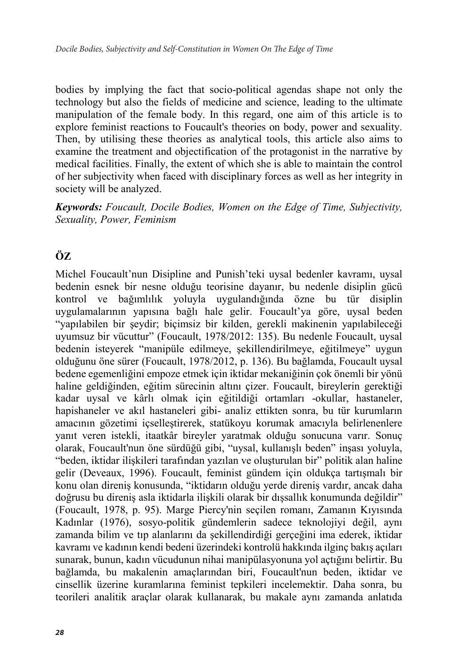bodies by implying the fact that socio-political agendas shape not only the technology but also the fields of medicine and science, leading to the ultimate manipulation of the female body. In this regard, one aim of this article is to explore feminist reactions to Foucault's theories on body, power and sexuality. Then, by utilising these theories as analytical tools, this article also aims to examine the treatment and objectification of the protagonist in the narrative by medical facilities. Finally, the extent of which she is able to maintain the control of her subjectivity when faced with disciplinary forces as well as her integrity in society will be analyzed.

*Keywords: Foucault, Docile Bodies, Women on the Edge of Time, Subjectivity, Sexuality, Power, Feminism*

# **ÖZ**

Michel Foucault'nun Disipline and Punish'teki uysal bedenler kavramı, uysal bedenin esnek bir nesne olduğu teorisine dayanır, bu nedenle disiplin gücü kontrol ve bağımlılık yoluyla uygulandığında özne bu tür disiplin uygulamalarının yapısına bağlı hale gelir. Foucault'ya göre, uysal beden "yapılabilen bir şeydir; biçimsiz bir kilden, gerekli makinenin yapılabileceği uyumsuz bir vücuttur" (Foucault, 1978/2012: 135). Bu nedenle Foucault, uysal bedenin isteyerek "manipüle edilmeye, şekillendirilmeye, eğitilmeye" uygun olduğunu öne sürer (Foucault, 1978/2012, p. 136). Bu bağlamda, Foucault uysal bedene egemenliğini empoze etmek için iktidar mekaniğinin çok önemli bir yönü haline geldiğinden, eğitim sürecinin altını çizer. Foucault, bireylerin gerektiği kadar uysal ve kârlı olmak için eğitildiği ortamları -okullar, hastaneler, hapishaneler ve akıl hastaneleri gibi- analiz ettikten sonra, bu tür kurumların amacının gözetimi içselleştirerek, statükoyu korumak amacıyla belirlenenlere yanıt veren istekli, itaatkâr bireyler yaratmak olduğu sonucuna varır. Sonuç olarak, Foucault'nun öne sürdüğü gibi, "uysal, kullanışlı beden" inşası yoluyla, "beden, iktidar ilişkileri tarafından yazılan ve oluşturulan bir" politik alan haline gelir (Deveaux, 1996). Foucault, feminist gündem için oldukça tartışmalı bir konu olan direniş konusunda, "iktidarın olduğu yerde direniş vardır, ancak daha doğrusu bu direniş asla iktidarla ilişkili olarak bir dışsallık konumunda değildir" (Foucault, 1978, p. 95). Marge Piercy'nin seçilen romanı, Zamanın Kıyısında Kadınlar (1976), sosyo-politik gündemlerin sadece teknolojiyi değil, aynı zamanda bilim ve tıp alanlarını da şekillendirdiği gerçeğini ima ederek, iktidar kavramı ve kadının kendi bedeni üzerindeki kontrolü hakkında ilginç bakış açıları sunarak, bunun, kadın vücudunun nihai manipülasyonuna yol açtığını belirtir. Bu bağlamda, bu makalenin amaçlarından biri, Foucault'nun beden, iktidar ve cinsellik üzerine kuramlarına feminist tepkileri incelemektir. Daha sonra, bu teorileri analitik araçlar olarak kullanarak, bu makale aynı zamanda anlatıda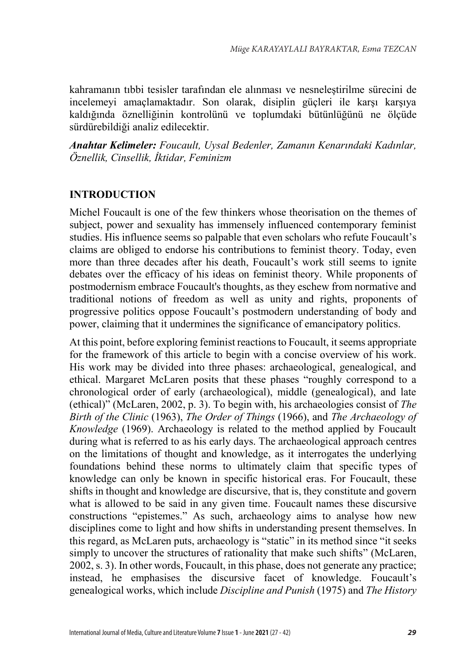kahramanın tıbbi tesisler tarafından ele alınması ve nesneleştirilme sürecini de incelemeyi amaçlamaktadır. Son olarak, disiplin güçleri ile karşı karşıya kaldığında öznelliğinin kontrolünü ve toplumdaki bütünlüğünü ne ölçüde sürdürebildiği analiz edilecektir.

*Anahtar Kelimeler: Foucault, Uysal Bedenler, Zamanın Kenarındaki Kadınlar, Öznellik, Cinsellik, İktidar, Feminizm*

## **INTRODUCTION**

Michel Foucault is one of the few thinkers whose theorisation on the themes of subject, power and sexuality has immensely influenced contemporary feminist studies. His influence seems so palpable that even scholars who refute Foucault's claims are obliged to endorse his contributions to feminist theory. Today, even more than three decades after his death, Foucault's work still seems to ignite debates over the efficacy of his ideas on feminist theory. While proponents of postmodernism embrace Foucault's thoughts, as they eschew from normative and traditional notions of freedom as well as unity and rights, proponents of progressive politics oppose Foucault's postmodern understanding of body and power, claiming that it undermines the significance of emancipatory politics.

At this point, before exploring feminist reactions to Foucault, it seems appropriate for the framework of this article to begin with a concise overview of his work. His work may be divided into three phases: archaeological, genealogical, and ethical. Margaret McLaren posits that these phases "roughly correspond to a chronological order of early (archaeological), middle (genealogical), and late (ethical)" (McLaren, 2002, p. 3). To begin with, his archaeologies consist of *The Birth of the Clinic* (1963), *The Order of Things* (1966), and *The Archaeology of Knowledge* (1969). Archaeology is related to the method applied by Foucault during what is referred to as his early days. The archaeological approach centres on the limitations of thought and knowledge, as it interrogates the underlying foundations behind these norms to ultimately claim that specific types of knowledge can only be known in specific historical eras. For Foucault, these shifts in thought and knowledge are discursive, that is, they constitute and govern what is allowed to be said in any given time. Foucault names these discursive constructions "epistemes." As such, archaeology aims to analyse how new disciplines come to light and how shifts in understanding present themselves. In this regard, as McLaren puts, archaeology is "static" in its method since "it seeks simply to uncover the structures of rationality that make such shifts" (McLaren, 2002, s. 3). In other words, Foucault, in this phase, does not generate any practice; instead, he emphasises the discursive facet of knowledge. Foucault's genealogical works, which include *Discipline and Punish* (1975) and *The History*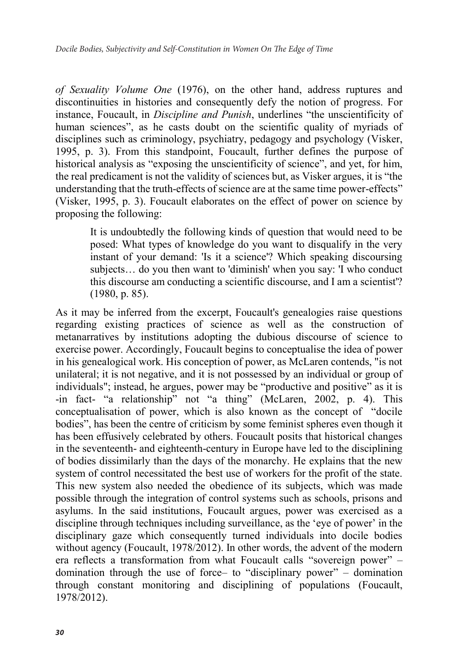*of Sexuality Volume One* (1976), on the other hand, address ruptures and discontinuities in histories and consequently defy the notion of progress. For instance, Foucault, in *Discipline and Punish*, underlines "the unscientificity of human sciences", as he casts doubt on the scientific quality of myriads of disciplines such as criminology, psychiatry, pedagogy and psychology (Visker, 1995, p. 3). From this standpoint, Foucault, further defines the purpose of historical analysis as "exposing the unscientificity of science", and yet, for him, the real predicament is not the validity of sciences but, as Visker argues, it is "the understanding that the truth-effects of science are at the same time power-effects" (Visker, 1995, p. 3). Foucault elaborates on the effect of power on science by proposing the following:

It is undoubtedly the following kinds of question that would need to be posed: What types of knowledge do you want to disqualify in the very instant of your demand: 'Is it a science'? Which speaking discoursing subjects… do you then want to 'diminish' when you say: 'I who conduct this discourse am conducting a scientific discourse, and I am a scientist'? (1980, p. 85).

As it may be inferred from the excerpt, Foucault's genealogies raise questions regarding existing practices of science as well as the construction of metanarratives by institutions adopting the dubious discourse of science to exercise power. Accordingly, Foucault begins to conceptualise the idea of power in his genealogical work. His conception of power, as McLaren contends, "is not unilateral; it is not negative, and it is not possessed by an individual or group of individuals"; instead, he argues, power may be "productive and positive" as it is -in fact- "a relationship" not "a thing" (McLaren, 2002, p. 4). This conceptualisation of power, which is also known as the concept of "docile bodies", has been the centre of criticism by some feminist spheres even though it has been effusively celebrated by others. Foucault posits that historical changes in the seventeenth- and eighteenth-century in Europe have led to the disciplining of bodies dissimilarly than the days of the monarchy. He explains that the new system of control necessitated the best use of workers for the profit of the state. This new system also needed the obedience of its subjects, which was made possible through the integration of control systems such as schools, prisons and asylums. In the said institutions, Foucault argues, power was exercised as a discipline through techniques including surveillance, as the 'eye of power' in the disciplinary gaze which consequently turned individuals into docile bodies without agency (Foucault, 1978/2012). In other words, the advent of the modern era reflects a transformation from what Foucault calls "sovereign power" – domination through the use of force– to "disciplinary power" – domination through constant monitoring and disciplining of populations (Foucault, 1978/2012).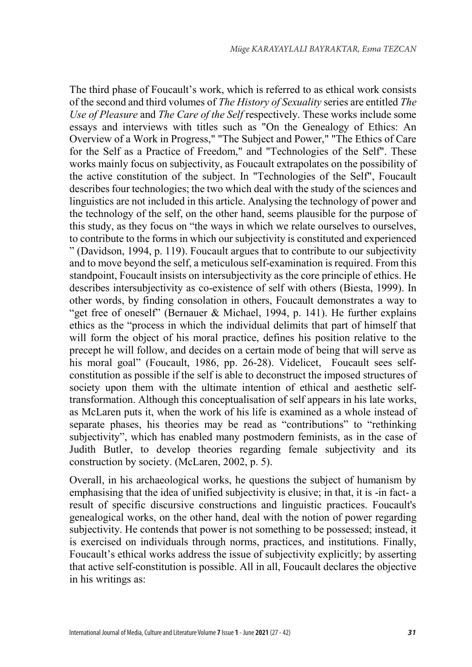The third phase of Foucault's work, which is referred to as ethical work consists of the second and third volumes of *The History of Sexuality* series are entitled *The Use of Pleasure* and *The Care of the Self* respectively. These works include some essays and interviews with titles such as "On the Genealogy of Ethics: An Overview of a Work in Progress," "The Subject and Power," "The Ethics of Care for the Self as a Practice of Freedom," and "Technologies of the Self". These works mainly focus on subjectivity, as Foucault extrapolates on the possibility of the active constitution of the subject. In "Technologies of the Self", Foucault describes four technologies; the two which deal with the study of the sciences and linguistics are not included in this article. Analysing the technology of power and the technology of the self, on the other hand, seems plausible for the purpose of this study, as they focus on "the ways in which we relate ourselves to ourselves, to contribute to the forms in which our subjectivity is constituted and experienced " (Davidson, 1994, p. 119). Foucault argues that to contribute to our subjectivity and to move beyond the self, a meticulous self-examination is required. From this standpoint, Foucault insists on intersubjectivity as the core principle of ethics. He describes intersubjectivity as co-existence of self with others (Biesta, 1999). In other words, by finding consolation in others, Foucault demonstrates a way to "get free of oneself" (Bernauer & Michael, 1994, p. 141). He further explains ethics as the "process in which the individual delimits that part of himself that will form the object of his moral practice, defines his position relative to the precept he will follow, and decides on a certain mode of being that will serve as his moral goal" (Foucault, 1986, pp. 26-28). Videlicet, Foucault sees selfconstitution as possible if the self is able to deconstruct the imposed structures of society upon them with the ultimate intention of ethical and aesthetic selftransformation. Although this conceptualisation of self appears in his late works, as McLaren puts it, when the work of his life is examined as a whole instead of separate phases, his theories may be read as "contributions" to "rethinking subjectivity", which has enabled many postmodern feminists, as in the case of Judith Butler, to develop theories regarding female subjectivity and its construction by society. (McLaren, 2002, p. 5).

Overall, in his archaeological works, he questions the subject of humanism by emphasising that the idea of unified subjectivity is elusive; in that, it is -in fact- a result of specific discursive constructions and linguistic practices. Foucault's genealogical works, on the other hand, deal with the notion of power regarding subjectivity. He contends that power is not something to be possessed; instead, it is exercised on individuals through norms, practices, and institutions. Finally, Foucault's ethical works address the issue of subjectivity explicitly; by asserting that active self-constitution is possible. All in all, Foucault declares the objective in his writings as: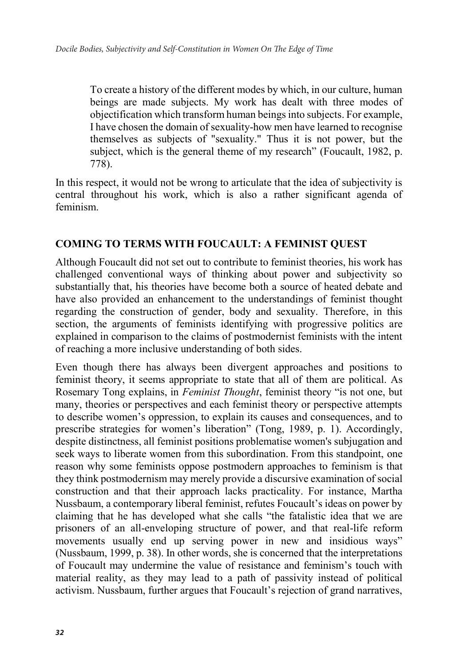To create a history of the different modes by which, in our culture, human beings are made subjects. My work has dealt with three modes of objectification which transform human beings into subjects. For example, I have chosen the domain of sexuality-how men have learned to recognise themselves as subjects of "sexuality." Thus it is not power, but the subject, which is the general theme of my research" (Foucault, 1982, p. 778).

In this respect, it would not be wrong to articulate that the idea of subjectivity is central throughout his work, which is also a rather significant agenda of feminism.

## **COMING TO TERMS WITH FOUCAULT: A FEMINIST QUEST**

Although Foucault did not set out to contribute to feminist theories, his work has challenged conventional ways of thinking about power and subjectivity so substantially that, his theories have become both a source of heated debate and have also provided an enhancement to the understandings of feminist thought regarding the construction of gender, body and sexuality. Therefore, in this section, the arguments of feminists identifying with progressive politics are explained in comparison to the claims of postmodernist feminists with the intent of reaching a more inclusive understanding of both sides.

Even though there has always been divergent approaches and positions to feminist theory, it seems appropriate to state that all of them are political. As Rosemary Tong explains, in *Feminist Thought*, feminist theory "is not one, but many, theories or perspectives and each feminist theory or perspective attempts to describe women's oppression, to explain its causes and consequences, and to prescribe strategies for women's liberation" (Tong, 1989, p. 1). Accordingly, despite distinctness, all feminist positions problematise women's subjugation and seek ways to liberate women from this subordination. From this standpoint, one reason why some feminists oppose postmodern approaches to feminism is that they think postmodernism may merely provide a discursive examination of social construction and that their approach lacks practicality. For instance, Martha Nussbaum, a contemporary liberal feminist, refutes Foucault's ideas on power by claiming that he has developed what she calls "the fatalistic idea that we are prisoners of an all-enveloping structure of power, and that real-life reform movements usually end up serving power in new and insidious ways" (Nussbaum, 1999, p. 38). In other words, she is concerned that the interpretations of Foucault may undermine the value of resistance and feminism's touch with material reality, as they may lead to a path of passivity instead of political activism. Nussbaum, further argues that Foucault's rejection of grand narratives,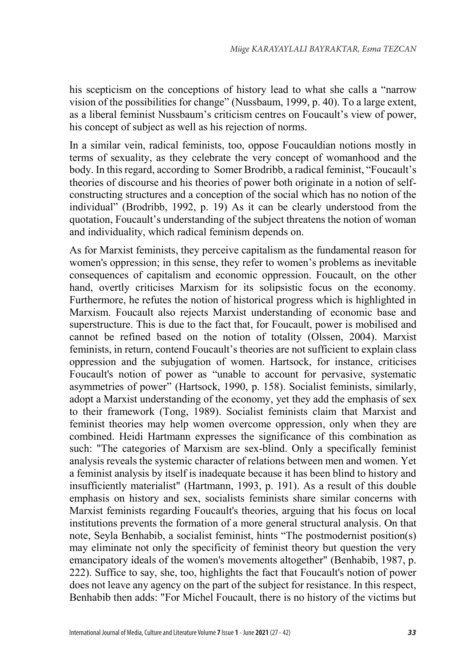his scepticism on the conceptions of history lead to what she calls a "narrow vision of the possibilities for change" (Nussbaum, 1999, p. 40). To a large extent, as a liberal feminist Nussbaum's criticism centres on Foucault's view of power, his concept of subject as well as his rejection of norms.

In a similar vein, radical feminists, too, oppose Foucauldian notions mostly in terms of sexuality, as they celebrate the very concept of womanhood and the body. In this regard, according to Somer Brodribb, a radical feminist, "Foucault's theories of discourse and his theories of power both originate in a notion of selfconstructing structures and a conception of the social which has no notion of the individual" (Brodribb, 1992, p. 19) As it can be clearly understood from the quotation, Foucault's understanding of the subject threatens the notion of woman and individuality, which radical feminism depends on.

As for Marxist feminists, they perceive capitalism as the fundamental reason for women's oppression; in this sense, they refer to women's problems as inevitable consequences of capitalism and economic oppression. Foucault, on the other hand, overtly criticises Marxism for its solipsistic focus on the economy. Furthermore, he refutes the notion of historical progress which is highlighted in Marxism. Foucault also rejects Marxist understanding of economic base and superstructure. This is due to the fact that, for Foucault, power is mobilised and cannot be refined based on the notion of totality (Olssen, 2004). Marxist feminists, in return, contend Foucault's theories are not sufficient to explain class oppression and the subjugation of women. Hartsock, for instance, criticises Foucault's notion of power as "unable to account for pervasive, systematic asymmetries of power" (Hartsock, 1990, p. 158). Socialist feminists, similarly, adopt a Marxist understanding of the economy, yet they add the emphasis of sex to their framework (Tong, 1989). Socialist feminists claim that Marxist and feminist theories may help women overcome oppression, only when they are combined. Heidi Hartmann expresses the significance of this combination as such: "The categories of Marxism are sex-blind. Only a specifically feminist analysis reveals the systemic character of relations between men and women. Yet a feminist analysis by itself is inadequate because it has been blind to history and insufficiently materialist" (Hartmann, 1993, p. 191). As a result of this double emphasis on history and sex, socialists feminists share similar concerns with Marxist feminists regarding Foucault's theories, arguing that his focus on local institutions prevents the formation of a more general structural analysis. On that note, Seyla Benhabib, a socialist feminist, hints "The postmodernist position(s) may eliminate not only the specificity of feminist theory but question the very emancipatory ideals of the women's movements altogether" (Benhabib, 1987, p. 222). Suffice to say, she, too, highlights the fact that Foucault's notion of power does not leave any agency on the part of the subject for resistance. In this respect, Benhabib then adds: "For Michel Foucault, there is no history of the victims but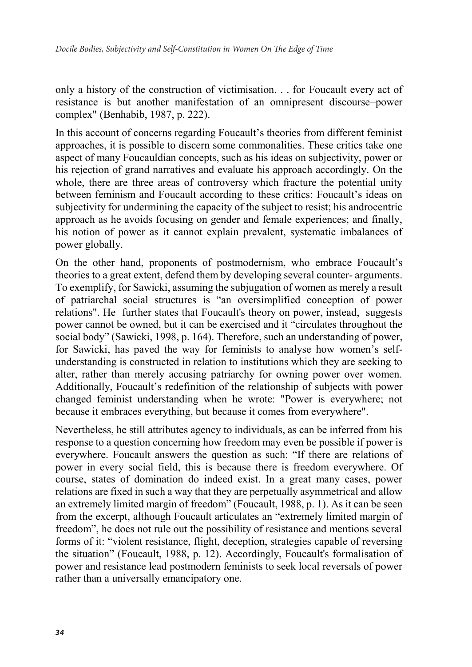only a history of the construction of victimisation. . . for Foucault every act of resistance is but another manifestation of an omnipresent discourse–power complex" (Benhabib, 1987, p. 222).

In this account of concerns regarding Foucault's theories from different feminist approaches, it is possible to discern some commonalities. These critics take one aspect of many Foucauldian concepts, such as his ideas on subjectivity, power or his rejection of grand narratives and evaluate his approach accordingly. On the whole, there are three areas of controversy which fracture the potential unity between feminism and Foucault according to these critics: Foucault's ideas on subjectivity for undermining the capacity of the subject to resist; his androcentric approach as he avoids focusing on gender and female experiences; and finally, his notion of power as it cannot explain prevalent, systematic imbalances of power globally.

On the other hand, proponents of postmodernism, who embrace Foucault's theories to a great extent, defend them by developing several counter- arguments. To exemplify, for Sawicki, assuming the subjugation of women as merely a result of patriarchal social structures is "an oversimplified conception of power relations". He further states that Foucault's theory on power, instead, suggests power cannot be owned, but it can be exercised and it "circulates throughout the social body" (Sawicki, 1998, p. 164). Therefore, such an understanding of power, for Sawicki, has paved the way for feminists to analyse how women's selfunderstanding is constructed in relation to institutions which they are seeking to alter, rather than merely accusing patriarchy for owning power over women. Additionally, Foucault's redefinition of the relationship of subjects with power changed feminist understanding when he wrote: "Power is everywhere; not because it embraces everything, but because it comes from everywhere".

Nevertheless, he still attributes agency to individuals, as can be inferred from his response to a question concerning how freedom may even be possible if power is everywhere. Foucault answers the question as such: "If there are relations of power in every social field, this is because there is freedom everywhere. Of course, states of domination do indeed exist. In a great many cases, power relations are fixed in such a way that they are perpetually asymmetrical and allow an extremely limited margin of freedom" (Foucault, 1988, p. 1). As it can be seen from the excerpt, although Foucault articulates an "extremely limited margin of freedom", he does not rule out the possibility of resistance and mentions several forms of it: "violent resistance, flight, deception, strategies capable of reversing the situation" (Foucault, 1988, p. 12). Accordingly, Foucault's formalisation of power and resistance lead postmodern feminists to seek local reversals of power rather than a universally emancipatory one.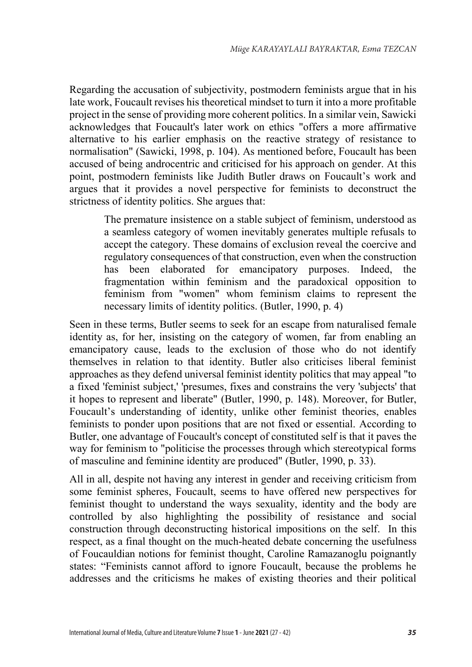Regarding the accusation of subjectivity, postmodern feminists argue that in his late work, Foucault revises his theoretical mindset to turn it into a more profitable project in the sense of providing more coherent politics. In a similar vein, Sawicki acknowledges that Foucault's later work on ethics "offers a more affirmative alternative to his earlier emphasis on the reactive strategy of resistance to normalisation" (Sawicki, 1998, p. 104). As mentioned before, Foucault has been accused of being androcentric and criticised for his approach on gender. At this point, postmodern feminists like Judith Butler draws on Foucault's work and argues that it provides a novel perspective for feminists to deconstruct the strictness of identity politics. She argues that:

The premature insistence on a stable subject of feminism, understood as a seamless category of women inevitably generates multiple refusals to accept the category. These domains of exclusion reveal the coercive and regulatory consequences of that construction, even when the construction has been elaborated for emancipatory purposes. Indeed, the fragmentation within feminism and the paradoxical opposition to feminism from "women" whom feminism claims to represent the necessary limits of identity politics. (Butler, 1990, p. 4)

Seen in these terms, Butler seems to seek for an escape from naturalised female identity as, for her, insisting on the category of women, far from enabling an emancipatory cause, leads to the exclusion of those who do not identify themselves in relation to that identity. Butler also criticises liberal feminist approaches as they defend universal feminist identity politics that may appeal "to a fixed 'feminist subject,' 'presumes, fixes and constrains the very 'subjects' that it hopes to represent and liberate" (Butler, 1990, p. 148). Moreover, for Butler, Foucault's understanding of identity, unlike other feminist theories, enables feminists to ponder upon positions that are not fixed or essential. According to Butler, one advantage of Foucault's concept of constituted self is that it paves the way for feminism to "politicise the processes through which stereotypical forms of masculine and feminine identity are produced" (Butler, 1990, p. 33).

All in all, despite not having any interest in gender and receiving criticism from some feminist spheres, Foucault, seems to have offered new perspectives for feminist thought to understand the ways sexuality, identity and the body are controlled by also highlighting the possibility of resistance and social construction through deconstructing historical impositions on the self. In this respect, as a final thought on the much-heated debate concerning the usefulness of Foucauldian notions for feminist thought, Caroline Ramazanoglu poignantly states: "Feminists cannot afford to ignore Foucault, because the problems he addresses and the criticisms he makes of existing theories and their political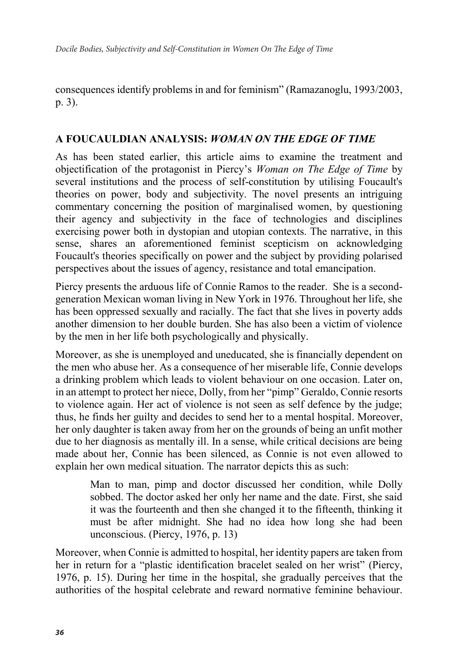consequences identify problems in and for feminism" (Ramazanoglu, 1993/2003, p. 3).

#### **A FOUCAULDIAN ANALYSIS:** *WOMAN ON THE EDGE OF TIME*

As has been stated earlier, this article aims to examine the treatment and objectification of the protagonist in Piercy's *Woman on The Edge of Time* by several institutions and the process of self-constitution by utilising Foucault's theories on power, body and subjectivity. The novel presents an intriguing commentary concerning the position of marginalised women, by questioning their agency and subjectivity in the face of technologies and disciplines exercising power both in dystopian and utopian contexts. The narrative, in this sense, shares an aforementioned feminist scepticism on acknowledging Foucault's theories specifically on power and the subject by providing polarised perspectives about the issues of agency, resistance and total emancipation.

Piercy presents the arduous life of Connie Ramos to the reader. She is a secondgeneration Mexican woman living in New York in 1976. Throughout her life, she has been oppressed sexually and racially. The fact that she lives in poverty adds another dimension to her double burden. She has also been a victim of violence by the men in her life both psychologically and physically.

Moreover, as she is unemployed and uneducated, she is financially dependent on the men who abuse her. As a consequence of her miserable life, Connie develops a drinking problem which leads to violent behaviour on one occasion. Later on, in an attempt to protect her niece, Dolly, from her "pimp" Geraldo, Connie resorts to violence again. Her act of violence is not seen as self defence by the judge; thus, he finds her guilty and decides to send her to a mental hospital. Moreover, her only daughter is taken away from her on the grounds of being an unfit mother due to her diagnosis as mentally ill. In a sense, while critical decisions are being made about her, Connie has been silenced, as Connie is not even allowed to explain her own medical situation. The narrator depicts this as such:

> Man to man, pimp and doctor discussed her condition, while Dolly sobbed. The doctor asked her only her name and the date. First, she said it was the fourteenth and then she changed it to the fifteenth, thinking it must be after midnight. She had no idea how long she had been unconscious. (Piercy, 1976, p. 13)

Moreover, when Connie is admitted to hospital, her identity papers are taken from her in return for a "plastic identification bracelet sealed on her wrist" (Piercy, 1976, p. 15). During her time in the hospital, she gradually perceives that the authorities of the hospital celebrate and reward normative feminine behaviour.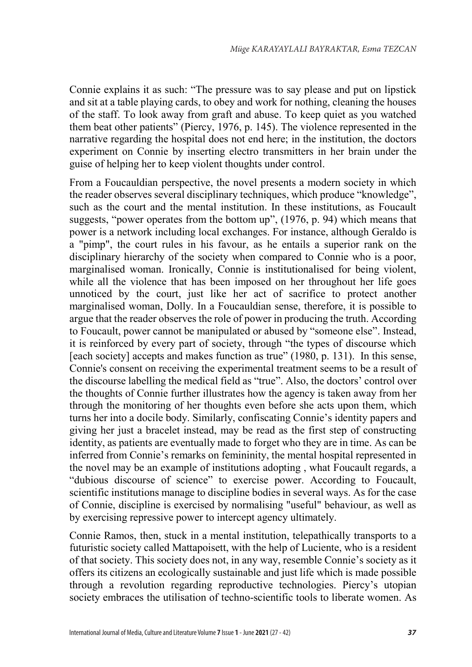Connie explains it as such: "The pressure was to say please and put on lipstick and sit at a table playing cards, to obey and work for nothing, cleaning the houses of the staff. To look away from graft and abuse. To keep quiet as you watched them beat other patients" (Piercy, 1976, p. 145). The violence represented in the narrative regarding the hospital does not end here; in the institution, the doctors experiment on Connie by inserting electro transmitters in her brain under the guise of helping her to keep violent thoughts under control.

From a Foucauldian perspective, the novel presents a modern society in which the reader observes several disciplinary techniques, which produce "knowledge", such as the court and the mental institution. In these institutions, as Foucault suggests, "power operates from the bottom up", (1976, p. 94) which means that power is a network including local exchanges. For instance, although Geraldo is a "pimp", the court rules in his favour, as he entails a superior rank on the disciplinary hierarchy of the society when compared to Connie who is a poor, marginalised woman. Ironically, Connie is institutionalised for being violent, while all the violence that has been imposed on her throughout her life goes unnoticed by the court, just like her act of sacrifice to protect another marginalised woman, Dolly. In a Foucauldian sense, therefore, it is possible to argue that the reader observes the role of power in producing the truth. According to Foucault, power cannot be manipulated or abused by "someone else". Instead, it is reinforced by every part of society, through "the types of discourse which [each society] accepts and makes function as true" (1980, p. 131). In this sense, Connie's consent on receiving the experimental treatment seems to be a result of the discourse labelling the medical field as "true". Also, the doctors' control over the thoughts of Connie further illustrates how the agency is taken away from her through the monitoring of her thoughts even before she acts upon them, which turns her into a docile body. Similarly, confiscating Connie's identity papers and giving her just a bracelet instead, may be read as the first step of constructing identity, as patients are eventually made to forget who they are in time. As can be inferred from Connie's remarks on femininity, the mental hospital represented in the novel may be an example of institutions adopting , what Foucault regards, a "dubious discourse of science" to exercise power. According to Foucault, scientific institutions manage to discipline bodies in several ways. As for the case of Connie, discipline is exercised by normalising "useful" behaviour, as well as by exercising repressive power to intercept agency ultimately.

Connie Ramos, then, stuck in a mental institution, telepathically transports to a futuristic society called Mattapoisett, with the help of Luciente, who is a resident of that society. This society does not, in any way, resemble Connie's society as it offers its citizens an ecologically sustainable and just life which is made possible through a revolution regarding reproductive technologies. Piercy's utopian society embraces the utilisation of techno-scientific tools to liberate women. As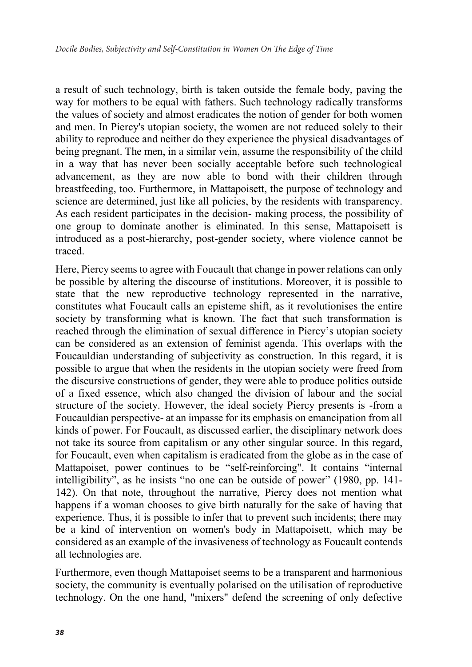a result of such technology, birth is taken outside the female body, paving the way for mothers to be equal with fathers. Such technology radically transforms the values of society and almost eradicates the notion of gender for both women and men. In Piercy's utopian society, the women are not reduced solely to their ability to reproduce and neither do they experience the physical disadvantages of being pregnant. The men, in a similar vein, assume the responsibility of the child in a way that has never been socially acceptable before such technological advancement, as they are now able to bond with their children through breastfeeding, too. Furthermore, in Mattapoisett, the purpose of technology and science are determined, just like all policies, by the residents with transparency. As each resident participates in the decision- making process, the possibility of one group to dominate another is eliminated. In this sense, Mattapoisett is introduced as a post-hierarchy, post-gender society, where violence cannot be traced.

Here, Piercy seems to agree with Foucault that change in power relations can only be possible by altering the discourse of institutions. Moreover, it is possible to state that the new reproductive technology represented in the narrative, constitutes what Foucault calls an episteme shift, as it revolutionises the entire society by transforming what is known. The fact that such transformation is reached through the elimination of sexual difference in Piercy's utopian society can be considered as an extension of feminist agenda. This overlaps with the Foucauldian understanding of subjectivity as construction. In this regard, it is possible to argue that when the residents in the utopian society were freed from the discursive constructions of gender, they were able to produce politics outside of a fixed essence, which also changed the division of labour and the social structure of the society. However, the ideal society Piercy presents is -from a Foucauldian perspective- at an impasse for its emphasis on emancipation from all kinds of power. For Foucault, as discussed earlier, the disciplinary network does not take its source from capitalism or any other singular source. In this regard, for Foucault, even when capitalism is eradicated from the globe as in the case of Mattapoiset, power continues to be "self-reinforcing". It contains "internal intelligibility", as he insists "no one can be outside of power" (1980, pp. 141- 142). On that note, throughout the narrative, Piercy does not mention what happens if a woman chooses to give birth naturally for the sake of having that experience. Thus, it is possible to infer that to prevent such incidents; there may be a kind of intervention on women's body in Mattapoisett, which may be considered as an example of the invasiveness of technology as Foucault contends all technologies are.

Furthermore, even though Mattapoiset seems to be a transparent and harmonious society, the community is eventually polarised on the utilisation of reproductive technology. On the one hand, "mixers" defend the screening of only defective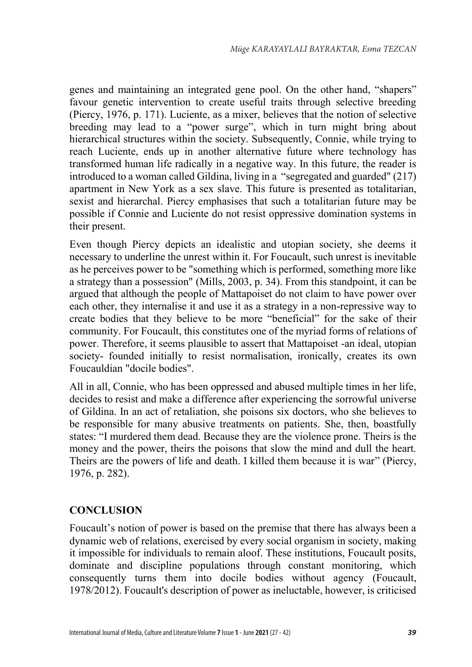genes and maintaining an integrated gene pool. On the other hand, "shapers" favour genetic intervention to create useful traits through selective breeding (Piercy, 1976, p. 171). Luciente, as a mixer, believes that the notion of selective breeding may lead to a "power surge", which in turn might bring about hierarchical structures within the society. Subsequently, Connie, while trying to reach Luciente, ends up in another alternative future where technology has transformed human life radically in a negative way. In this future, the reader is introduced to a woman called Gildina, living in a "segregated and guarded" (217) apartment in New York as a sex slave. This future is presented as totalitarian, sexist and hierarchal. Piercy emphasises that such a totalitarian future may be possible if Connie and Luciente do not resist oppressive domination systems in their present.

Even though Piercy depicts an idealistic and utopian society, she deems it necessary to underline the unrest within it. For Foucault, such unrest is inevitable as he perceives power to be "something which is performed, something more like a strategy than a possession" (Mills, 2003, p. 34). From this standpoint, it can be argued that although the people of Mattapoiset do not claim to have power over each other, they internalise it and use it as a strategy in a non-repressive way to create bodies that they believe to be more "beneficial" for the sake of their community. For Foucault, this constitutes one of the myriad forms of relations of power. Therefore, it seems plausible to assert that Mattapoiset -an ideal, utopian society- founded initially to resist normalisation, ironically, creates its own Foucauldian "docile bodies".

All in all, Connie, who has been oppressed and abused multiple times in her life, decides to resist and make a difference after experiencing the sorrowful universe of Gildina. In an act of retaliation, she poisons six doctors, who she believes to be responsible for many abusive treatments on patients. She, then, boastfully states: "I murdered them dead. Because they are the violence prone. Theirs is the money and the power, theirs the poisons that slow the mind and dull the heart. Theirs are the powers of life and death. I killed them because it is war" (Piercy, 1976, p. 282).

#### **CONCLUSION**

Foucault's notion of power is based on the premise that there has always been a dynamic web of relations, exercised by every social organism in society, making it impossible for individuals to remain aloof. These institutions, Foucault posits, dominate and discipline populations through constant monitoring, which consequently turns them into docile bodies without agency (Foucault, 1978/2012). Foucault's description of power as ineluctable, however, is criticised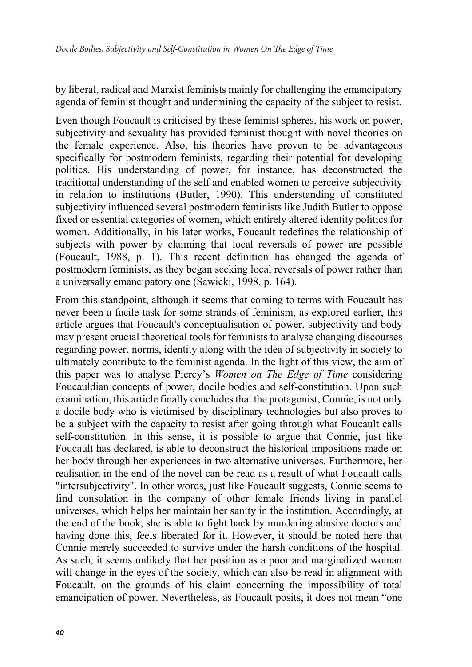by liberal, radical and Marxist feminists mainly for challenging the emancipatory agenda of feminist thought and undermining the capacity of the subject to resist.

Even though Foucault is criticised by these feminist spheres, his work on power, subjectivity and sexuality has provided feminist thought with novel theories on the female experience. Also, his theories have proven to be advantageous specifically for postmodern feminists, regarding their potential for developing politics. His understanding of power, for instance, has deconstructed the traditional understanding of the self and enabled women to perceive subjectivity in relation to institutions (Butler, 1990). This understanding of constituted subjectivity influenced several postmodern feminists like Judith Butler to oppose fixed or essential categories of women, which entirely altered identity politics for women. Additionally, in his later works, Foucault redefines the relationship of subjects with power by claiming that local reversals of power are possible (Foucault, 1988, p. 1). This recent definition has changed the agenda of postmodern feminists, as they began seeking local reversals of power rather than a universally emancipatory one (Sawicki, 1998, p. 164).

From this standpoint, although it seems that coming to terms with Foucault has never been a facile task for some strands of feminism, as explored earlier, this article argues that Foucault's conceptualisation of power, subjectivity and body may present crucial theoretical tools for feminists to analyse changing discourses regarding power, norms, identity along with the idea of subjectivity in society to ultimately contribute to the feminist agenda. In the light of this view, the aim of this paper was to analyse Piercy's *Women on The Edge of Time* considering Foucauldian concepts of power, docile bodies and self-constitution. Upon such examination, this article finally concludes that the protagonist, Connie, is not only a docile body who is victimised by disciplinary technologies but also proves to be a subject with the capacity to resist after going through what Foucault calls self-constitution. In this sense, it is possible to argue that Connie, just like Foucault has declared, is able to deconstruct the historical impositions made on her body through her experiences in two alternative universes. Furthermore, her realisation in the end of the novel can be read as a result of what Foucault calls "intersubjectivity". In other words, just like Foucault suggests, Connie seems to find consolation in the company of other female friends living in parallel universes, which helps her maintain her sanity in the institution. Accordingly, at the end of the book, she is able to fight back by murdering abusive doctors and having done this, feels liberated for it. However, it should be noted here that Connie merely succeeded to survive under the harsh conditions of the hospital. As such, it seems unlikely that her position as a poor and marginalized woman will change in the eyes of the society, which can also be read in alignment with Foucault, on the grounds of his claim concerning the impossibility of total emancipation of power. Nevertheless, as Foucault posits, it does not mean "one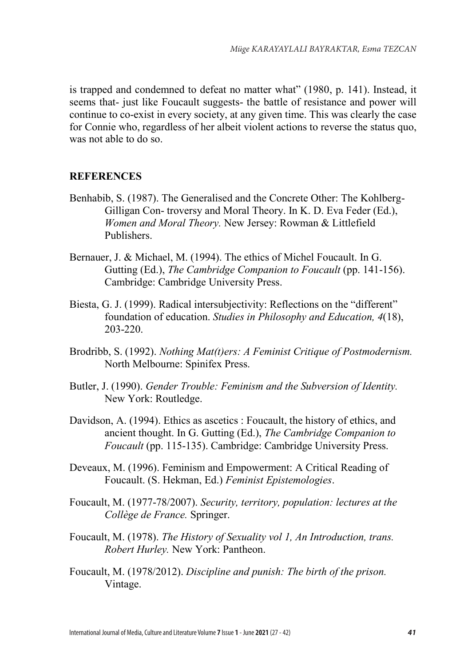is trapped and condemned to defeat no matter what" (1980, p. 141). Instead, it seems that- just like Foucault suggests- the battle of resistance and power will continue to co-exist in every society, at any given time. This was clearly the case for Connie who, regardless of her albeit violent actions to reverse the status quo, was not able to do so.

#### **REFERENCES**

- Benhabib, S. (1987). The Generalised and the Concrete Other: The Kohlberg-Gilligan Con- troversy and Moral Theory. In K. D. Eva Feder (Ed.), *Women and Moral Theory.* New Jersey: Rowman & Littlefield Publishers.
- Bernauer, J. & Michael, M. (1994). The ethics of Michel Foucault. In G. Gutting (Ed.), *The Cambridge Companion to Foucault* (pp. 141-156). Cambridge: Cambridge University Press.
- Biesta, G. J. (1999). Radical intersubjectivity: Reflections on the "different" foundation of education. *Studies in Philosophy and Education, 4*(18), 203-220.
- Brodribb, S. (1992). *Nothing Mat(t)ers: A Feminist Critique of Postmodernism.* North Melbourne: Spinifex Press.
- Butler, J. (1990). *Gender Trouble: Feminism and the Subversion of Identity.* New York: Routledge.
- Davidson, A. (1994). Ethics as ascetics : Foucault, the history of ethics, and ancient thought. In G. Gutting (Ed.), *The Cambridge Companion to Foucault* (pp. 115-135). Cambridge: Cambridge University Press.
- Deveaux, M. (1996). Feminism and Empowerment: A Critical Reading of Foucault. (S. Hekman, Ed.) *Feminist Epistemologies*.
- Foucault, M. (1977-78/2007). *Security, territory, population: lectures at the Collège de France.* Springer.
- Foucault, M. (1978). *The History of Sexuality vol 1, An Introduction, trans. Robert Hurley.* New York: Pantheon.
- Foucault, M. (1978/2012). *Discipline and punish: The birth of the prison.* Vintage.